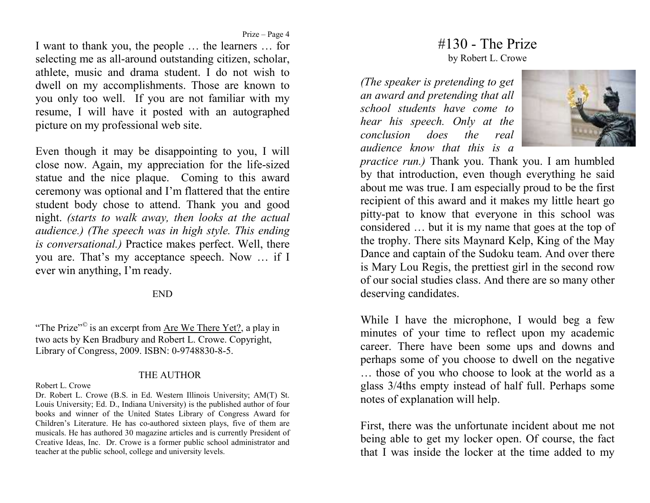Prize – Page 4

 I want to thank you, the people … the learners … for selecting me as all-around outstanding citizen, scholar, athlete, music and drama student. I do not wish to dwell on my accomplishments. Those are known to you only too well. If you are not familiar with my resume, I will have it posted with an autographed picture on my professional web site.

Even though it may be disappointing to you, I will close now. Again, my appreciation for the life-sized statue and the nice plaque. Coming to this award ceremony was optional and I'm flattered that the entire student body chose to attend. Thank you and good night. *(starts to walk away, then looks at the actual audience.) (The speech was in high style. This ending is conversational.)* Practice makes perfect. Well, there you are. That's my acceptance speech. Now … if I ever win anything, I'm ready.

## END

"The Prize"*©* is an excerpt from Are We There Yet?, a play in two acts by Ken Bradbury and Robert L. Crowe. Copyright, Library of Congress, 2009. ISBN: 0-9748830-8-5.

## THE AUTHOR

Robert L. Crowe

Dr. Robert L. Crowe (B.S. in Ed. Western Illinois University; AM(T) St. Louis University; Ed. D., Indiana University) is the published author of four books and winner of the United States Library of Congress Award for Children's Literature. He has co-authored sixteen plays, five of them are musicals. He has authored 30 magazine articles and is currently President of Creative Ideas, Inc. Dr. Crowe is a former public school administrator and teacher at the public school, college and university levels.

## $#130$  - The Prize

by Robert L. Crowe

*(The speaker is pretending to get an award and pretending that all school students have come to hear his speech. Only at the conclusion does the real audience know that this is a* 



*practice run.)* Thank you. Thank you. I am humbled by that introduction, even though everything he said about me was true. I am especially proud to be the first recipient of this award and it makes my little heart go pitty-pat to know that everyone in this school was considered … but it is my name that goes at the top of the trophy. There sits Maynard Kelp, King of the May Dance and captain of the Sudoku team. And over there is Mary Lou Regis, the prettiest girl in the second row of our social studies class. And there are so many other deserving candidates.

While I have the microphone, I would beg a few minutes of your time to reflect upon my academic career. There have been some ups and downs and perhaps some of you choose to dwell on the negative … those of you who choose to look at the world as a glass 3/4ths empty instead of half full. Perhaps some notes of explanation will help.

First, there was the unfortunate incident about me not being able to get my locker open. Of course, the fact that I was inside the locker at the time added to my